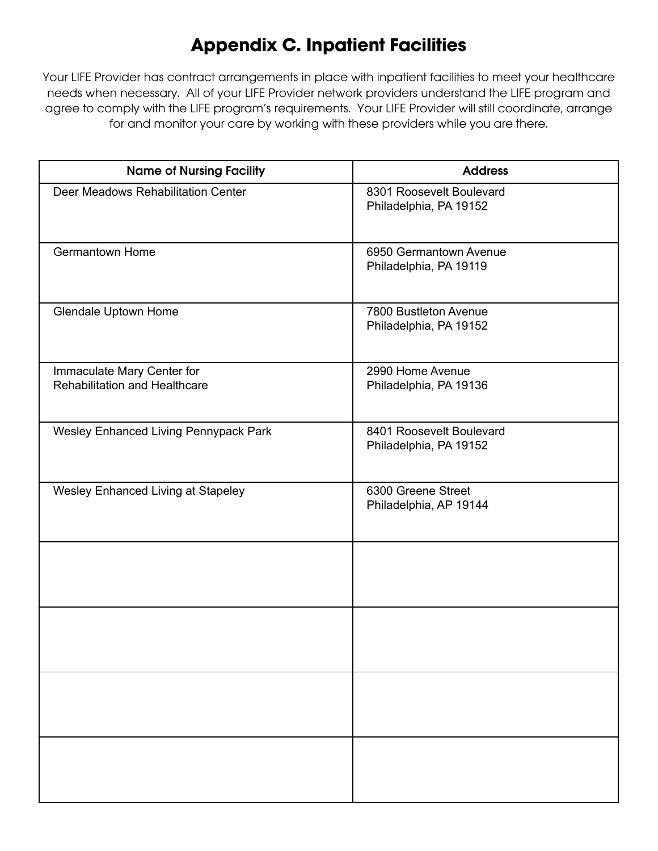## **Appendix C. Inpatient Facilities**

Your LIFE Provider has contract arrangements in place with inpatient facilities to meet your healthcare needs when necessary. All of your LIFE Provider network providers understand the LIFE program and agree to comply with the LIFE program's requirements. Your LIFE Provider will still coordinate, arrange for and monitor your care by working with these providers while you are there.

| <b>Name of Nursing Facility</b>                                    | <b>Address</b>                                     |
|--------------------------------------------------------------------|----------------------------------------------------|
| Deer Meadows Rehabilitation Center                                 | 8301 Roosevelt Boulevard<br>Philadelphia, PA 19152 |
| <b>Germantown Home</b>                                             | 6950 Germantown Avenue<br>Philadelphia, PA 19119   |
| <b>Glendale Uptown Home</b>                                        | 7800 Bustleton Avenue<br>Philadelphia, PA 19152    |
| Immaculate Mary Center for<br><b>Rehabilitation and Healthcare</b> | 2990 Home Avenue<br>Philadelphia, PA 19136         |
| Wesley Enhanced Living Pennypack Park                              | 8401 Roosevelt Boulevard<br>Philadelphia, PA 19152 |
| Wesley Enhanced Living at Stapeley                                 | 6300 Greene Street<br>Philadelphia, AP 19144       |
|                                                                    |                                                    |
|                                                                    |                                                    |
|                                                                    |                                                    |
|                                                                    |                                                    |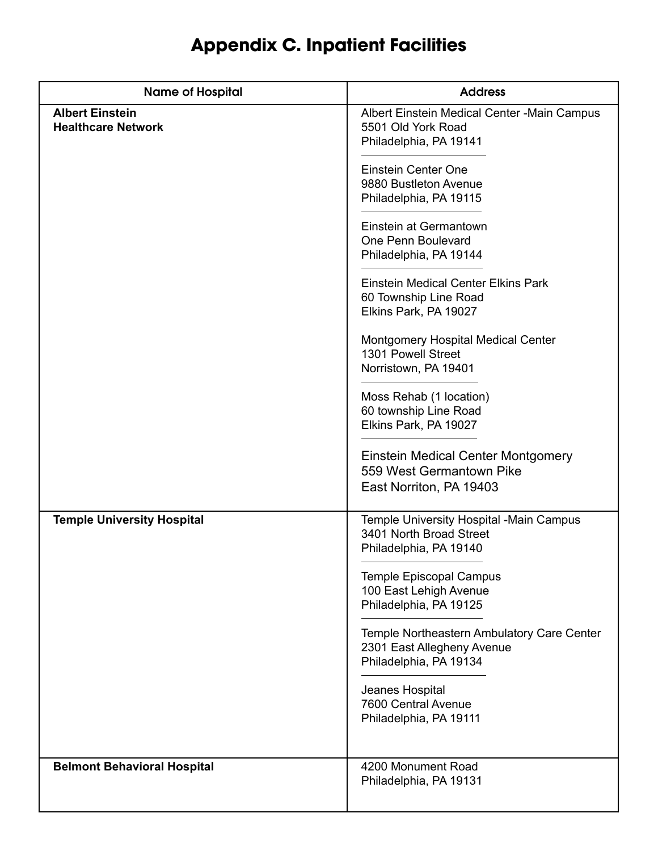## **Appendix C. Inpatient Facilities**

| <b>Name of Hospital</b>                             | <b>Address</b>                                                                                     |
|-----------------------------------------------------|----------------------------------------------------------------------------------------------------|
| <b>Albert Einstein</b><br><b>Healthcare Network</b> | Albert Einstein Medical Center - Main Campus<br>5501 Old York Road<br>Philadelphia, PA 19141       |
|                                                     | Einstein Center One<br>9880 Bustleton Avenue<br>Philadelphia, PA 19115                             |
|                                                     | Einstein at Germantown<br>One Penn Boulevard<br>Philadelphia, PA 19144                             |
|                                                     | <b>Einstein Medical Center Elkins Park</b><br>60 Township Line Road<br>Elkins Park, PA 19027       |
|                                                     | Montgomery Hospital Medical Center<br>1301 Powell Street<br>Norristown, PA 19401                   |
|                                                     | Moss Rehab (1 location)<br>60 township Line Road<br>Elkins Park, PA 19027                          |
|                                                     | Einstein Medical Center Montgomery<br>559 West Germantown Pike<br>East Norriton, PA 19403          |
| <b>Temple University Hospital</b>                   | Temple University Hospital -Main Campus<br>3401 North Broad Street<br>Philadelphia, PA 19140       |
|                                                     | <b>Temple Episcopal Campus</b><br>100 East Lehigh Avenue<br>Philadelphia, PA 19125                 |
|                                                     | Temple Northeastern Ambulatory Care Center<br>2301 East Allegheny Avenue<br>Philadelphia, PA 19134 |
|                                                     | Jeanes Hospital<br>7600 Central Avenue<br>Philadelphia, PA 19111                                   |
| <b>Belmont Behavioral Hospital</b>                  | 4200 Monument Road<br>Philadelphia, PA 19131                                                       |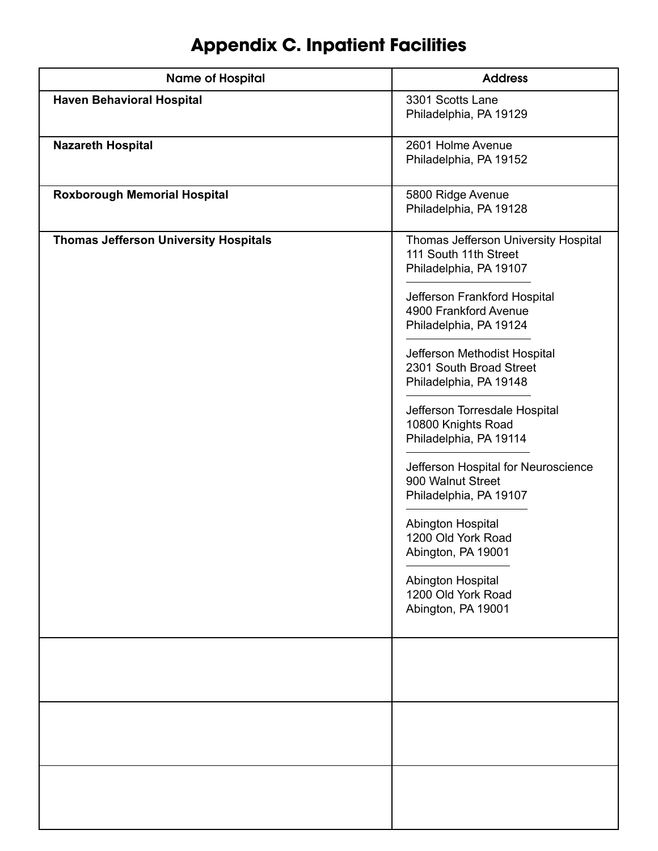## **Appendix C. Inpatient Facilities**

| <b>Name of Hospital</b>                      | <b>Address</b>                                                                                                                                                                                                                                                                                                                                                                                                                                                                                                                                                           |
|----------------------------------------------|--------------------------------------------------------------------------------------------------------------------------------------------------------------------------------------------------------------------------------------------------------------------------------------------------------------------------------------------------------------------------------------------------------------------------------------------------------------------------------------------------------------------------------------------------------------------------|
| <b>Haven Behavioral Hospital</b>             | 3301 Scotts Lane<br>Philadelphia, PA 19129                                                                                                                                                                                                                                                                                                                                                                                                                                                                                                                               |
| <b>Nazareth Hospital</b>                     | 2601 Holme Avenue<br>Philadelphia, PA 19152                                                                                                                                                                                                                                                                                                                                                                                                                                                                                                                              |
| <b>Roxborough Memorial Hospital</b>          | 5800 Ridge Avenue<br>Philadelphia, PA 19128                                                                                                                                                                                                                                                                                                                                                                                                                                                                                                                              |
| <b>Thomas Jefferson University Hospitals</b> | Thomas Jefferson University Hospital<br>111 South 11th Street<br>Philadelphia, PA 19107<br>Jefferson Frankford Hospital<br>4900 Frankford Avenue<br>Philadelphia, PA 19124<br>Jefferson Methodist Hospital<br>2301 South Broad Street<br>Philadelphia, PA 19148<br>Jefferson Torresdale Hospital<br>10800 Knights Road<br>Philadelphia, PA 19114<br>Jefferson Hospital for Neuroscience<br>900 Walnut Street<br>Philadelphia, PA 19107<br>Abington Hospital<br>1200 Old York Road<br>Abington, PA 19001<br>Abington Hospital<br>1200 Old York Road<br>Abington, PA 19001 |
|                                              |                                                                                                                                                                                                                                                                                                                                                                                                                                                                                                                                                                          |
|                                              |                                                                                                                                                                                                                                                                                                                                                                                                                                                                                                                                                                          |
|                                              |                                                                                                                                                                                                                                                                                                                                                                                                                                                                                                                                                                          |